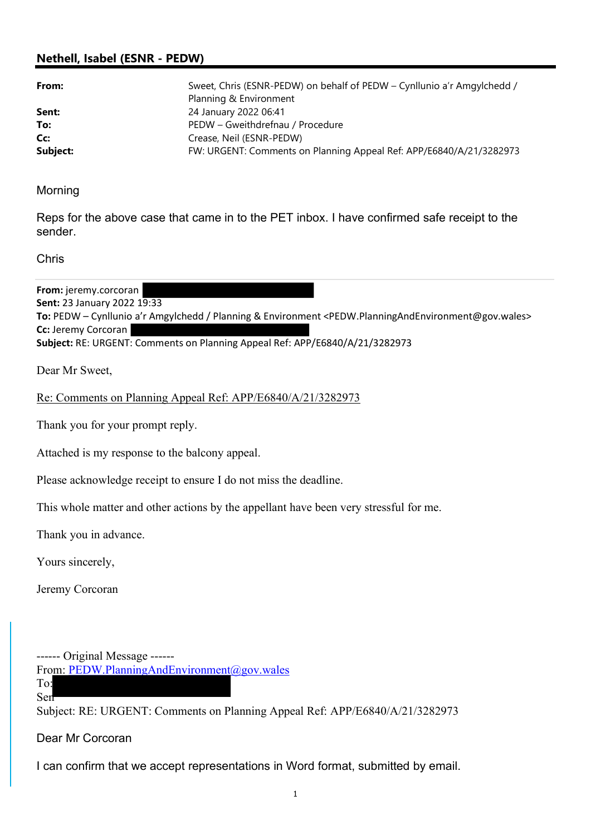## Nethell, Isabel (ESNR - PEDW)

| From:    | Sweet, Chris (ESNR-PEDW) on behalf of PEDW - Cynllunio a'r Amgylchedd /<br>Planning & Environment |
|----------|---------------------------------------------------------------------------------------------------|
| Sent:    | 24 January 2022 06:41                                                                             |
| To:      | PEDW - Gweithdrefnau / Procedure                                                                  |
| Cc:      | Crease, Neil (ESNR-PEDW)                                                                          |
| Subject: | FW: URGENT: Comments on Planning Appeal Ref: APP/E6840/A/21/3282973                               |

Morning

Reps for the above case that came in to the PET inbox. I have confirmed safe receipt to the sender.

Chris

From: jeremy.corcoran Sent: 23 January 2022 19:33 To: PEDW – Cynllunio a'r Amgylchedd / Planning & Environment <PEDW.PlanningAndEnvironment@gov.wales> Cc: Jeremy Corcoran Subject: RE: URGENT: Comments on Planning Appeal Ref: APP/E6840/A/21/3282973

Dear Mr Sweet,

Re: Comments on Planning Appeal Ref: APP/E6840/A/21/3282973

Thank you for your prompt reply.

Attached is my response to the balcony appeal.

Please acknowledge receipt to ensure I do not miss the deadline.

This whole matter and other actions by the appellant have been very stressful for me.

Thank you in advance.

Yours sincerely,

Jeremy Corcoran

------ Original Message ------

From: PEDW.PlanningAndEnvironment@gov.wales

To: Sen

Subject: RE: URGENT: Comments on Planning Appeal Ref: APP/E6840/A/21/3282973

Dear Mr Corcoran

I can confirm that we accept representations in Word format, submitted by email.